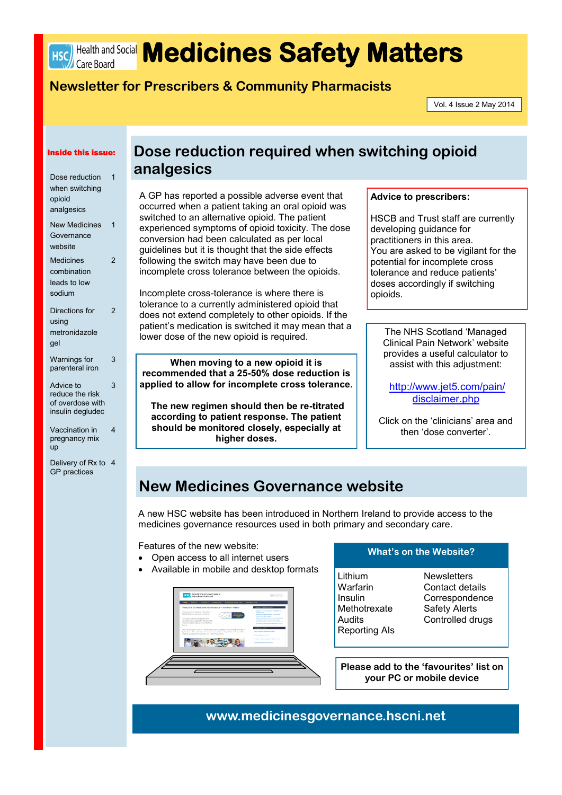

# HSC Health and Social **Medicines Safety Matters**

# **Newsletter for Prescribers & Community Pharmacists**

Vol. 4 Issue 2 May 2014

#### Inside this issue:

| Dose reduction<br>when switching<br>opioid<br>analgesics             | 1              |
|----------------------------------------------------------------------|----------------|
| <b>New Medicines</b><br>Governance<br>website                        | 1              |
| <b>Medicines</b><br>combination<br>leads to low<br>sodium            | $\overline{c}$ |
| Directions for<br>using<br>metronidazole<br>gel                      | 2              |
| Warnings for<br>parenteral iron                                      | 3              |
| Advice to<br>reduce the risk<br>of overdose with<br>insulin degludec | 3              |
| Vaccination in                                                       | 4              |

- pregnancy mix up
- Delivery of Rx to 4 GP practices

# **Dose reduction required when switching opioid analgesics**

A GP has reported a possible adverse event that occurred when a patient taking an oral opioid was switched to an alternative opioid. The patient experienced symptoms of opioid toxicity. The dose conversion had been calculated as per local guidelines but it is thought that the side effects following the switch may have been due to incomplete cross tolerance between the opioids.

Incomplete cross-tolerance is where there is tolerance to a currently administered opioid that does not extend completely to other opioids. If the patient's medication is switched it may mean that a lower dose of the new opioid is required.

**When moving to a new opioid it is recommended that a 25-50% dose reduction is applied to allow for incomplete cross tolerance.**

**The new regimen should then be re-titrated according to patient response. The patient should be monitored closely, especially at higher doses.**

## **Advice to prescribers:**

HSCB and Trust staff are currently developing guidance for practitioners in this area. You are asked to be vigilant for the potential for incomplete cross tolerance and reduce patients' doses accordingly if switching opioids.

The NHS Scotland 'Managed Clinical Pain Network' website provides a useful calculator to assist with this adjustment:

[http://www.jet5.com/pain/](http://www.jet5.com/pain/disclaimer.php) [disclaimer.php](http://www.jet5.com/pain/disclaimer.php)

Click on the 'clinicians' area and then 'dose converter'.

# **New Medicines Governance website**

A new HSC website has been introduced in Northern Ireland to provide access to the medicines governance resources used in both primary and secondary care.

Features of the new website:

- Open access to all internet users
- Available in mobile and desktop formats



## **What's on the Website?**

Lithium Warfarin Insulin Methotrexate **Audits** Reporting AIs

**Newsletters** Contact details **Correspondence** Safety Alerts Controlled drugs

**Please add to the 'favourites' list on your PC or mobile device**

# **www.medicinesgovernance.hscni.net**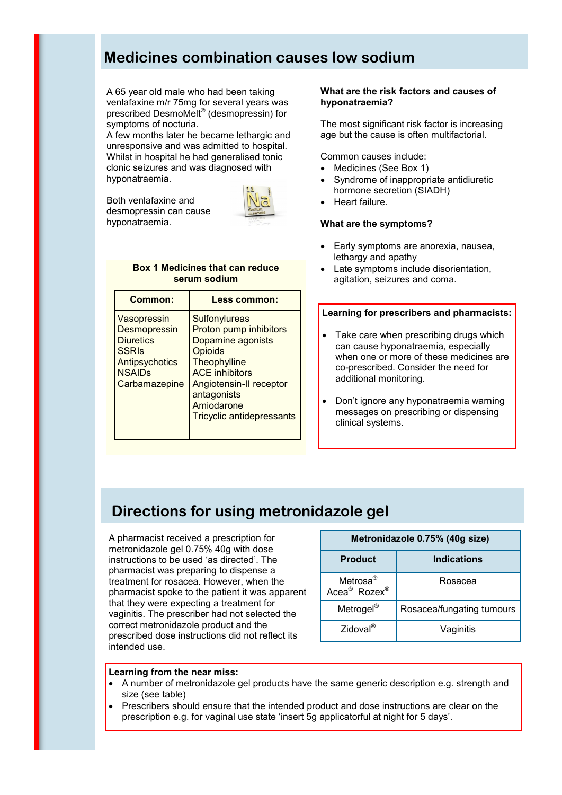# **Medicines combination causes low sodium**

A 65 year old male who had been taking venlafaxine m/r 75mg for several years was prescribed DesmoMelt® (desmopressin) for symptoms of nocturia.

A few months later he became lethargic and unresponsive and was admitted to hospital. Whilst in hospital he had generalised tonic clonic seizures and was diagnosed with hyponatraemia.

Both venlafaxine and desmopressin can cause hyponatraemia.



### **Box 1 Medicines that can reduce serum sodium**

| Common:                                                                                                      | Less common:                                                                                                                                                                                                        |
|--------------------------------------------------------------------------------------------------------------|---------------------------------------------------------------------------------------------------------------------------------------------------------------------------------------------------------------------|
| Vasopressin<br>Desmopressin<br><b>Diuretics</b><br>SSRIs<br>Antipsychotics<br><b>NSAIDs</b><br>Carbamazepine | Sulfonylureas<br>Proton pump inhibitors<br>Dopamine agonists<br>Opioids<br><b>Theophylline</b><br><b>ACE</b> inhibitors<br>Angiotensin-II receptor<br>antagonists<br>Amiodarone<br><b>Tricyclic antidepressants</b> |

# **What are the risk factors and causes of hyponatraemia?**

The most significant risk factor is increasing age but the cause is often multifactorial.

### Common causes include:

- Medicines (See Box 1)
- [Syndrome of inappropriate antidiuretic](http://cks.nice.org.uk/hyponatraemia#!backgroundsub:4)  [hormone secretion](http://cks.nice.org.uk/hyponatraemia#!backgroundsub:4) (SIADH)
- [Heart failure.](http://cks.nice.org.uk/hyponatraemia#!backgroundsub:5)

### **What are the symptoms?**

- Early symptoms are anorexia, nausea, lethargy and apathy
- Late symptoms include disorientation, agitation, seizures and coma.

#### **Learning for prescribers and pharmacists:**

- Take care when prescribing drugs which can cause hyponatraemia, especially when one or more of these medicines are co-prescribed. Consider the need for additional monitoring.
- Don't ignore any hyponatraemia warning messages on prescribing or dispensing clinical systems.

# **Directions for using metronidazole gel**

A pharmacist received a prescription for metronidazole gel 0.75% 40g with dose instructions to be used 'as directed'. The pharmacist was preparing to dispense a treatment for rosacea. However, when the pharmacist spoke to the patient it was apparent that they were expecting a treatment for vaginitis. The prescriber had not selected the correct metronidazole product and the prescribed dose instructions did not reflect its intended use.

| Metronidazole 0.75% (40g size)                               |                           |  |  |  |
|--------------------------------------------------------------|---------------------------|--|--|--|
| <b>Product</b>                                               | <b>Indications</b>        |  |  |  |
| Metrosa <sup>®</sup><br>Acea <sup>®</sup> Rozex <sup>®</sup> | Rosacea                   |  |  |  |
| Metrogel <sup>®</sup>                                        | Rosacea/fungating tumours |  |  |  |
| $Zidoval^{\otimes}$                                          | Vaginitis                 |  |  |  |

#### **Learning from the near miss:**

- A number of metronidazole gel products have the same generic description e.g. strength and size (see table)
- Prescribers should ensure that the intended product and dose instructions are clear on the prescription e.g. for vaginal use state 'insert 5g applicatorful at night for 5 days'.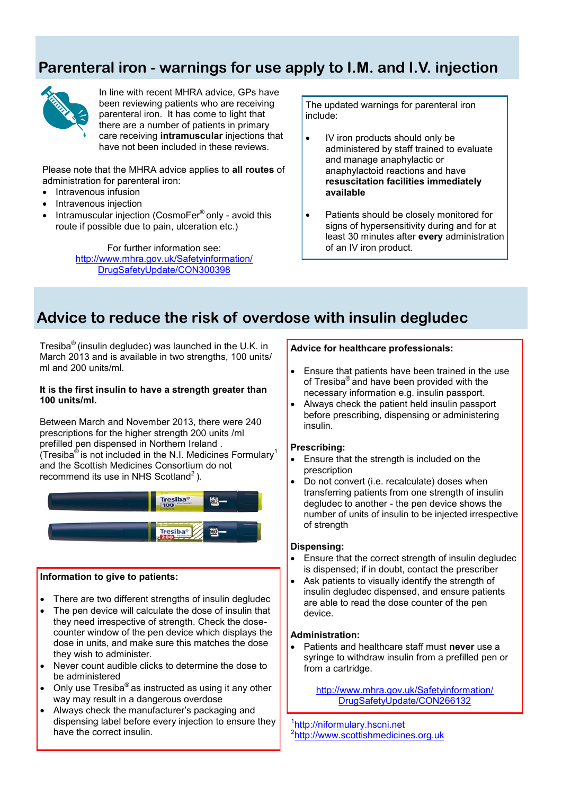# **Parenteral iron - warnings for use apply to I.M. and I.V. injection**



In line with recent MHRA advice, GPs have been reviewing patients who are receiving parenteral iron. It has come to light that there are a number of patients in primary care receiving **intramuscular** injections that have not been included in these reviews.

Please note that the MHRA advice applies to **all routes** of administration for parenteral iron:

- Intravenous infusion
- Intravenous injection
- Intramuscular injection (CosmoFer® only avoid this route if possible due to pain, ulceration etc.)

For further information see: [http://www.mhra.gov.uk/Safetyinformation/](http://www.mhra.gov.uk/Safetyinformation/DrugSafetyUpdate/CON300398) [DrugSafetyUpdate/CON300398](http://www.mhra.gov.uk/Safetyinformation/DrugSafetyUpdate/CON300398)

The updated warnings for parenteral iron include:

- IV iron products should only be administered by staff trained to evaluate and manage anaphylactic or anaphylactoid reactions and have **resuscitation facilities immediately available**
- Patients should be closely monitored for signs of hypersensitivity during and for at least 30 minutes after **every** administration of an IV iron product.

# **Advice to reduce the risk of overdose with insulin degludec**

Tresiba<sup>®</sup> (insulin degludec) was launched in the U.K. in March 2013 and is available in two strengths, 100 units/ ml and 200 units/ml.

### **It is the first insulin to have a strength greater than 100 units/ml.**

Between March and November 2013, there were 240 prescriptions for the higher strength 200 units /ml prefilled pen dispensed in Northern Ireland . (Tresiba<sup>®</sup> is not included in the N.I. Medicines Formulary<sup>1</sup> and the Scottish Medicines Consortium do not recommend its use in NHS Scotland<sup>2</sup>).



## **Information to give to patients:**

- There are two different strengths of insulin degludec
- The pen device will calculate the dose of insulin that they need irrespective of strength. Check the dosecounter window of the pen device which displays the dose in units, and make sure this matches the dose they wish to administer.
- Never count audible clicks to determine the dose to be administered
- Only use Tresiba® as instructed as using it any other way may result in a dangerous overdose
- Always check the manufacturer's packaging and dispensing label before every injection to ensure they have the correct insulin.

# **Advice for healthcare professionals:**

- Ensure that patients have been trained in the use of Tresiba® and have been provided with the necessary information e.g. insulin passport.
- Always check the patient held insulin passport before prescribing, dispensing or administering insulin.

## **Prescribing:**

- Ensure that the strength is included on the prescription
- Do not convert (i.e. recalculate) doses when transferring patients from one strength of insulin degludec to another - the pen device shows the number of units of insulin to be injected irrespective of strength

### **Dispensing:**

- Ensure that the correct strength of insulin degludec is dispensed; if in doubt, contact the prescriber
- Ask patients to visually identify the strength of insulin degludec dispensed, and ensure patients are able to read the dose counter of the pen device.

# **Administration:**

 Patients and healthcare staff must **never** use a syringe to withdraw insulin from a prefilled pen or from a cartridge.

> [http://www.mhra.gov.uk/Safetyinformation/](http://www.mhra.gov.uk/Safetyinformation/DrugSafetyUpdate/CON266132) [DrugSafetyUpdate/CON266132](http://www.mhra.gov.uk/Safetyinformation/DrugSafetyUpdate/CON266132)

1 http://niformulary.hscni.net <sup>2</sup>http://www.scottishmedicines.org.uk